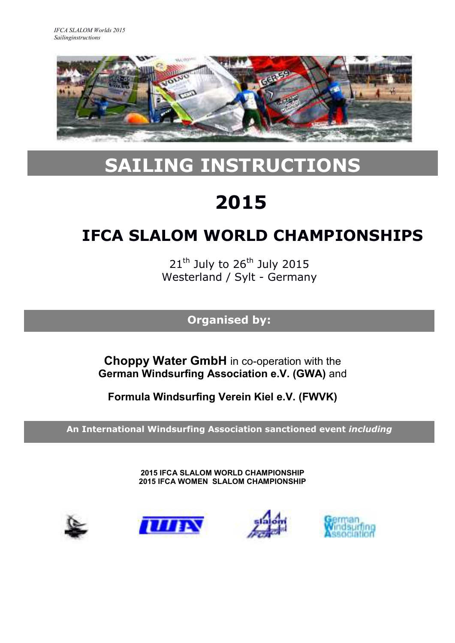

# **SAILING INSTRUCTIONS**

# **2015**

# **IFCA SLALOM WORLD CHAMPIONSHIPS**

 $21<sup>th</sup>$  July to  $26<sup>th</sup>$  July 2015 Westerland / Sylt - Germany

**Organised by:**

**Choppy Water GmbH** in co-operation with the **German Windsurfing Association e.V. (GWA)** and

**Formula Windsurfing Verein Kiel e.V. (FWVK)**

**An International Windsurfing Association sanctioned event** *including*

**2015 IFCA SLALOM WORLD CHAMPIONSHIP 2015 IFCA WOMEN SLALOM CHAMPIONSHIP**







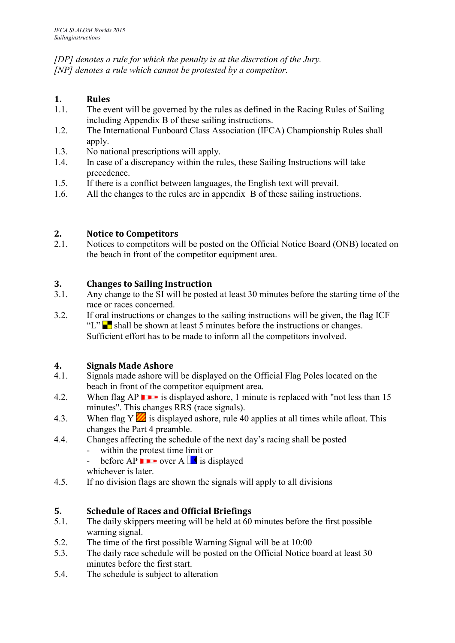*[DP] denotes a rule for which the penalty is at the discretion of the Jury. [NP] denotes a rule which cannot be protested by a competitor.*

# **1. Rules**

- 1.1. The event will be governed by the rules as defined in the Racing Rules of Sailing including Appendix B of these sailing instructions.
- 1.2. The International Funboard Class Association (IFCA) Championship Rules shall apply.
- 1.3. No national prescriptions will apply.
- 1.4. In case of a discrepancy within the rules, these Sailing Instructions will take precedence.
- 1.5. If there is a conflict between languages, the English text will prevail.
- 1.6. All the changes to the rules are in appendix B of these sailing instructions.

# **2. Notice to Competitors**

2.1. Notices to competitors will be posted on the Official Notice Board (ONB) located on the beach in front of the competitor equipment area.

# **3. Changes to Sailing Instruction**

- 3.1. Any change to the SI will be posted at least 30 minutes before the starting time of the race or races concerned.
- 3.2. If oral instructions or changes to the sailing instructions will be given, the flag ICF "L" **shall be shown at least 5 minutes before the instructions or changes.**" Sufficient effort has to be made to inform all the competitors involved.

## **4. Signals Made Ashore**

- 4.1. Signals made ashore will be displayed on the Official Flag Poles located on the beach in front of the competitor equipment area.
- 4.2. When flag AP  $\blacksquare$  is displayed ashore, 1 minute is replaced with "not less than 15 minutes". This changes RRS (race signals).
- 4.3. When flag Y is displayed ashore, rule 40 applies at all times while afloat. This changes the Part 4 preamble.
- 4.4. Changes affecting the schedule of the next day's racing shall be posted
	- within the protest time limit or
	- before  $AP \rightharpoonup$  over  $A \rightharpoonup$  is displayed
	- whichever is later.
- 4.5. If no division flags are shown the signals will apply to all divisions

# **5. Schedule of Races and Official Briefings**

- 5.1. The daily skippers meeting will be held at 60 minutes before the first possible warning signal.
- 5.2. The time of the first possible Warning Signal will be at 10:00
- 5.3. The daily race schedule will be posted on the Official Notice board at least 30 minutes before the first start.
- 5.4. The schedule is subject to alteration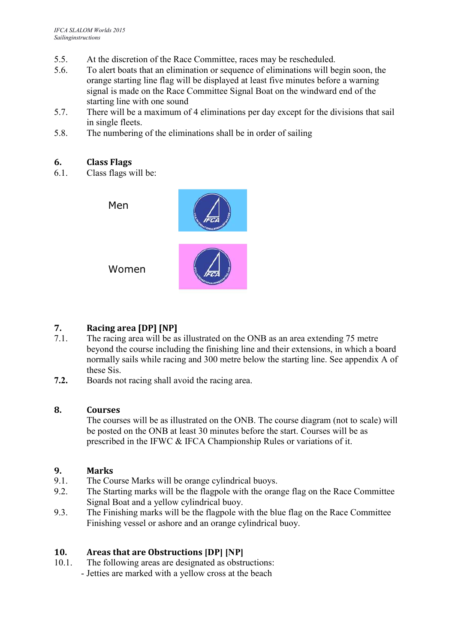- 5.5. At the discretion of the Race Committee, races may be rescheduled.
- 5.6. To alert boats that an elimination or sequence of eliminations will begin soon, the orange starting line flag will be displayed at least five minutes before a warning signal is made on the Race Committee Signal Boat on the windward end of the starting line with one sound
- 5.7. There will be a maximum of 4 eliminations per day except for the divisions that sail in single fleets.
- 5.8. The numbering of the eliminations shall be in order of sailing

## **6. Class Flags**

6.1. Class flags will be:



# **7. Racing area [DP] [NP]**

- 7.1. The racing area will be as illustrated on the ONB as an area extending 75 metre beyond the course including the finishing line and their extensions, in which a board normally sails while racing and 300 metre below the starting line. See appendix A of these Sis.
- **7.2.** Boards not racing shall avoid the racing area.

#### **8. Courses**

The courses will be as illustrated on the ONB. The course diagram (not to scale) will be posted on the ONB at least 30 minutes before the start. Courses will be as prescribed in the IFWC & IFCA Championship Rules or variations of it.

#### **9. Marks**

- 9.1. The Course Marks will be orange cylindrical buoys.
- 9.2. The Starting marks will be the flagpole with the orange flag on the Race Committee Signal Boat and a yellow cylindrical buoy.
- 9.3. The Finishing marks will be the flagpole with the blue flag on the Race Committee Finishing vessel or ashore and an orange cylindrical buoy.

## **10. Areas that are Obstructions [DP] [NP]**

10.1. The following areas are designated as obstructions: - Jetties are marked with a yellow cross at the beach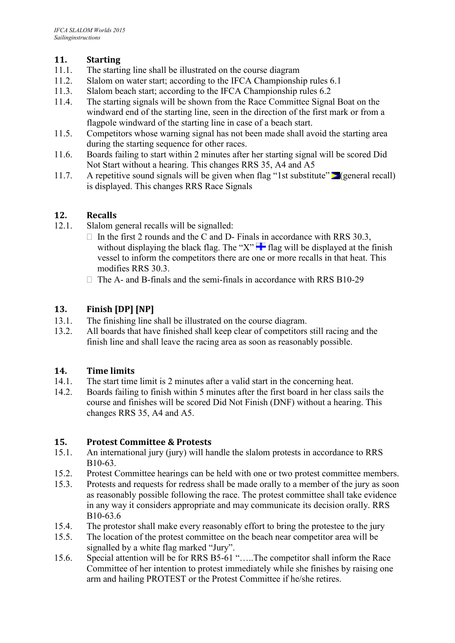## **11. Starting**

- 11.1. The starting line shall be illustrated on the course diagram
- 11.2. Slalom on water start; according to the IFCA Championship rules 6.1
- 11.3. Slalom beach start; according to the IFCA Championship rules 6.2
- 11.4. The starting signals will be shown from the Race Committee Signal Boat on the windward end of the starting line, seen in the direction of the first mark or from a flagpole windward of the starting line in case of a beach start.
- 11.5. Competitors whose warning signal has not been made shall avoid the starting area during the starting sequence for other races.
- 11.6. Boards failing to start within 2 minutes after her starting signal will be scored Did Not Start without a hearing. This changes RRS 35, A4 and A5
- 11.7. A repetitive sound signals will be given when flag "1st substitute"  $\geq$  (general recall) is displayed. This changes RRS Race Signals

## **12. Recalls**

- 12.1. Slalom general recalls will be signalled:
	- $\Box$  In the first 2 rounds and the C and D- Finals in accordance with RRS 30.3, without displaying the black flag. The "X"  $\blacksquare$  flag will be displayed at the finish vessel to inform the competitors there are one or more recalls in that heat. This modifies RRS 30.3.
	- $\Box$  The A- and B-finals and the semi-finals in accordance with RRS B10-29

## **13. Finish [DP] [NP]**

- 13.1. The finishing line shall be illustrated on the course diagram.
- 13.2. All boards that have finished shall keep clear of competitors still racing and the finish line and shall leave the racing area as soon as reasonably possible.

## **14. Time limits**

- 14.1. The start time limit is 2 minutes after a valid start in the concerning heat.
- 14.2. Boards failing to finish within 5 minutes after the first board in her class sails the course and finishes will be scored Did Not Finish (DNF) without a hearing. This changes RRS 35, A4 and A5.

## **15. Protest Committee & Protests**

- 15.1. An international jury (jury) will handle the slalom protests in accordance to RRS B10-63.
- 15.2. Protest Committee hearings can be held with one or two protest committee members.
- 15.3. Protests and requests for redress shall be made orally to a member of the jury as soon as reasonably possible following the race. The protest committee shall take evidence in any way it considers appropriate and may communicate its decision orally. RRS B10-63.6
- 15.4. The protestor shall make every reasonably effort to bring the protestee to the jury
- 15.5. The location of the protest committee on the beach near competitor area will be signalled by a white flag marked "Jury".
- 15.6. Special attention will be for RRS B5-61 "…..The competitor shall inform the Race Committee of her intention to protest immediately while she finishes by raising one arm and hailing PROTEST or the Protest Committee if he/she retires.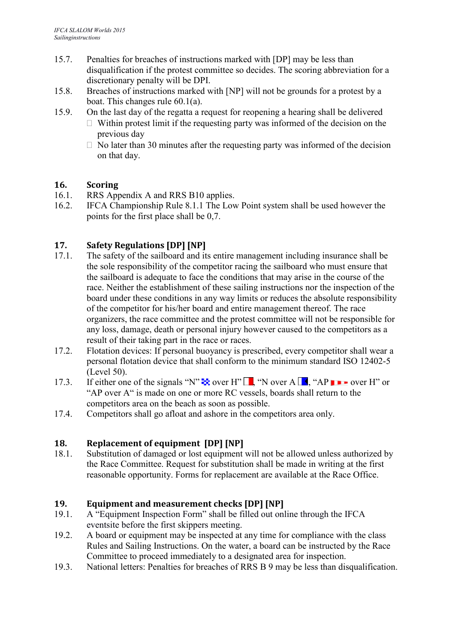- 15.7. Penalties for breaches of instructions marked with [DP] may be less than disqualification if the protest committee so decides. The scoring abbreviation for a discretionary penalty will be DPI.
- 15.8. Breaches of instructions marked with [NP] will not be grounds for a protest by a boat. This changes rule 60.1(a).
- 15.9. On the last day of the regatta a request for reopening a hearing shall be delivered
	- $\Box$  Within protest limit if the requesting party was informed of the decision on the previous day
	- $\Box$  No later than 30 minutes after the requesting party was informed of the decision on that day.

# **16. Scoring**

- 16.1. RRS Appendix A and RRS B10 applies.
- 16.2. IFCA Championship Rule 8.1.1 The Low Point system shall be used however the points for the first place shall be 0,7.

# **17. Safety Regulations [DP] [NP]**

- 17.1. The safety of the sailboard and its entire management including insurance shall be the sole responsibility of the competitor racing the sailboard who must ensure that the sailboard is adequate to face the conditions that may arise in the course of the race. Neither the establishment of these sailing instructions nor the inspection of the board under these conditions in any way limits or reduces the absolute responsibility of the competitor for his/her board and entire management thereof. The race organizers, the race committee and the protest committee will not be responsible for any loss, damage, death or personal injury however caused to the competitors as a result of their taking part in the race or races.
- 17.2. Flotation devices: If personal buoyancy is prescribed, every competitor shall wear a personal flotation device that shall conform to the minimum standard ISO 12402-5 (Level 50).
- 17.3. If either one of the signals "N"  $\rightarrow$  over H"  $\Box$ , "N over A  $\Box$ , "AP  $\rightarrow$  over H" or "AP over A" is made on one or more RC vessels, boards shall return to the competitors area on the beach as soon as possible.
- 17.4. Competitors shall go afloat and ashore in the competitors area only.

# **18. Replacement of equipment [DP] [NP]**

18.1. Substitution of damaged or lost equipment will not be allowed unless authorized by the Race Committee. Request for substitution shall be made in writing at the first reasonable opportunity. Forms for replacement are available at the Race Office.

## **19. Equipment and measurement checks [DP] [NP]**

- 19.1. A "Equipment Inspection Form" shall be filled out online through the IFCA eventsite before the first skippers meeting.
- 19.2. A board or equipment may be inspected at any time for compliance with the class Rules and Sailing Instructions. On the water, a board can be instructed by the Race Committee to proceed immediately to a designated area for inspection.
- 19.3. National letters: Penalties for breaches of RRS B 9 may be less than disqualification.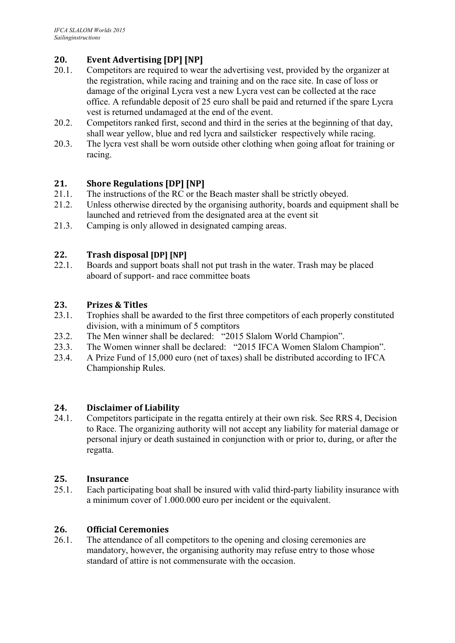# **20. Event Advertising [DP] [NP]**

- 20.1. Competitors are required to wear the advertising vest, provided by the organizer at the registration, while racing and training and on the race site. In case of loss or damage of the original Lycra vest a new Lycra vest can be collected at the race office. A refundable deposit of 25 euro shall be paid and returned if the spare Lycra vest is returned undamaged at the end of the event.
- 20.2. Competitors ranked first, second and third in the series at the beginning of that day, shall wear yellow, blue and red lycra and sailsticker respectively while racing.
- 20.3. The lycra vest shall be worn outside other clothing when going afloat for training or racing.

# **21. Shore Regulations [DP] [NP]**

- 21.1. The instructions of the RC or the Beach master shall be strictly obeyed.
- 21.2. Unless otherwise directed by the organising authority, boards and equipment shall be launched and retrieved from the designated area at the event sit
- 21.3. Camping is only allowed in designated camping areas.

## **22. Trash disposal [DP] [NP]**

22.1. Boards and support boats shall not put trash in the water. Trash may be placed aboard of support- and race committee boats

#### **23. Prizes & Titles**

- 23.1. Trophies shall be awarded to the first three competitors of each properly constituted division, with a minimum of 5 comptitors
- 23.2. The Men winner shall be declared: "2015 Slalom World Champion".<br>23.3. The Women winner shall be declared: "2015 IFCA Women Slalom C
- The Women winner shall be declared: "2015 IFCA Women Slalom Champion".
- 23.4. A Prize Fund of 15,000 euro (net of taxes) shall be distributed according to IFCA Championship Rules.

## **24. Disclaimer of Liability**

24.1. Competitors participate in the regatta entirely at their own risk. See RRS 4, Decision to Race. The organizing authority will not accept any liability for material damage or personal injury or death sustained in conjunction with or prior to, during, or after the regatta.

#### **25. Insurance**

25.1. Each participating boat shall be insured with valid third-party liability insurance with a minimum cover of 1.000.000 euro per incident or the equivalent.

## **26. Official Ceremonies**

26.1. The attendance of all competitors to the opening and closing ceremonies are mandatory, however, the organising authority may refuse entry to those whose standard of attire is not commensurate with the occasion.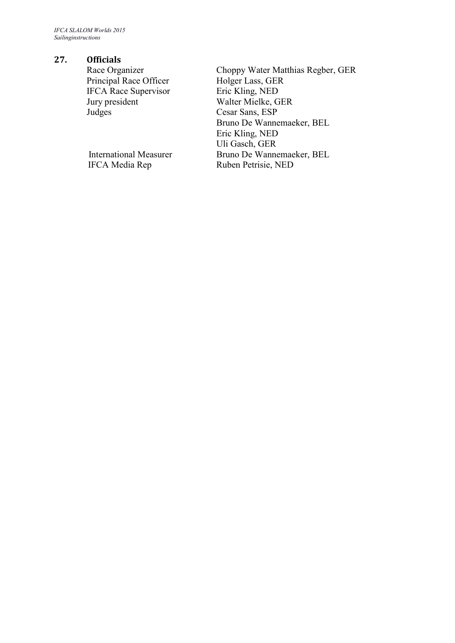*IFCA SLALOM Worlds 2015 Sailinginstructions*

#### **27. Officials**

Principal Race Officer IFCA Race Supervisor Eric Kling, NED Jury president Walter Mielke, GER Judges Cesar Sans, ESP

Race Organizer Choppy Water Matthias Regber, GER<br>Principal Race Officer Holger Lass, GER Bruno De Wannemaeker, BEL Eric Kling, NED Uli Gasch, GER International Measurer Bruno De Wannemaeker, BEL<br>IFCA Media Rep Ruben Petrisie, NED Ruben Petrisie, NED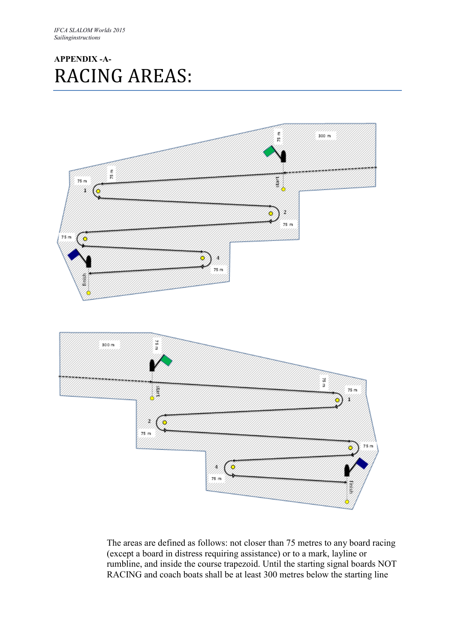# **APPENDIX -A-**RACING AREAS:



The areas are defined as follows: not closer than 75 metres to any board racing (except a board in distress requiring assistance) or to a mark, layline or rumbline, and inside the course trapezoid. Until the starting signal boards NOT RACING and coach boats shall be at least 300 metres below the starting line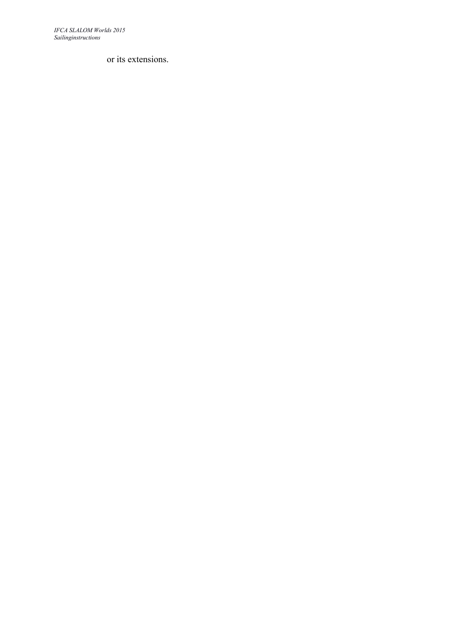*IFCA SLALOM Worlds 2015 Sailinginstructions*

or its extensions.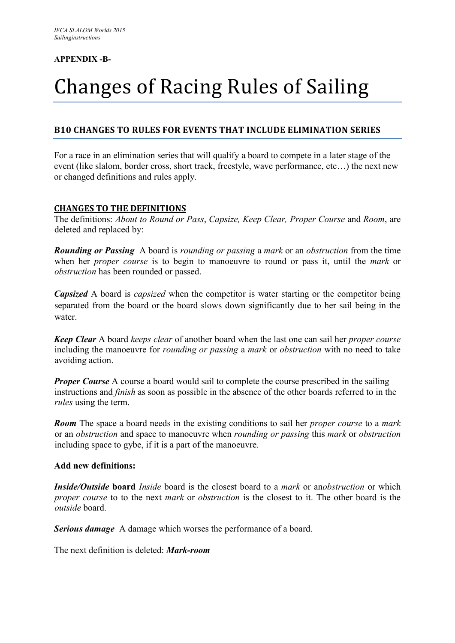#### **APPENDIX -B-**

# Changes of Racing Rules of Sailing

## **B10 CHANGES TO RULES FOR EVENTS THAT INCLUDE ELIMINATION SERIES**

For a race in an elimination series that will qualify a board to compete in a later stage of the event (like slalom, border cross, short track, freestyle, wave performance, etc…) the next new or changed definitions and rules apply.

#### **CHANGES TO THE DEFINITIONS**

The definitions: *About to Round or Pass*, *Capsize, Keep Clear, Proper Course* and *Room*, are deleted and replaced by:

*Rounding or Passing* A board is *rounding or passing* a *mark* or an *obstruction* from the time when her *proper course* is to begin to manoeuvre to round or pass it, until the *mark* or *obstruction* has been rounded or passed.

*Capsized* A board is *capsized* when the competitor is water starting or the competitor being separated from the board or the board slows down significantly due to her sail being in the water.

*Keep Clear* A board *keeps clear* of another board when the last one can sail her *proper course*  including the manoeuvre for *rounding or passing* a *mark* or *obstruction* with no need to take avoiding action.

*Proper Course* A course a board would sail to complete the course prescribed in the sailing instructions and *finish* as soon as possible in the absence of the other boards referred to in the *rules* using the term.

*Room* The space a board needs in the existing conditions to sail her *proper course* to a *mark*  or an *obstruction* and space to manoeuvre when *rounding or passing* this *mark* or *obstruction* including space to gybe, if it is a part of the manoeuvre.

#### **Add new definitions:**

*Inside/Outside* **board** *Inside* board is the closest board to a *mark* or an*obstruction* or which *proper course* to to the next *mark* or *obstruction* is the closest to it. The other board is the *outside* board.

*Serious damage* A damage which worses the performance of a board.

The next definition is deleted: *Mark-room*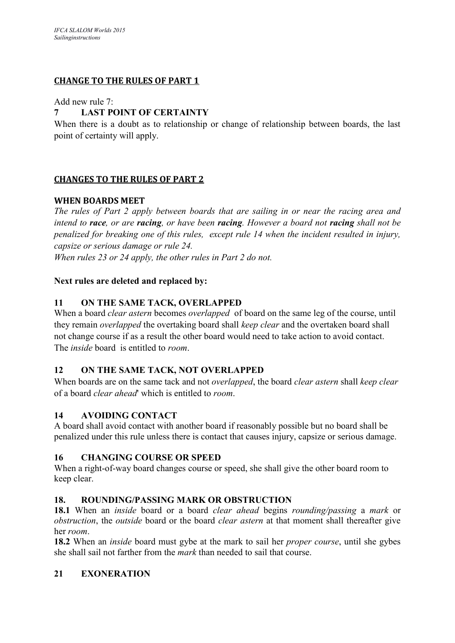## **CHANGE TO THE RULES OF PART 1**

Add new rule 7:

#### **7 LAST POINT OF CERTAINTY**

When there is a doubt as to relationship or change of relationship between boards, the last point of certainty will apply.

#### **CHANGES TO THE RULES OF PART 2**

#### **WHEN BOARDS MEET**

*The rules of Part 2 apply between boards that are sailing in or near the racing area and intend to race, or are racing, or have been racing. However a board not racing shall not be penalized for breaking one of this rules, except rule 14 when the incident resulted in injury, capsize or serious damage or rule 24.*

*When rules 23 or 24 apply, the other rules in Part 2 do not.*

#### **Next rules are deleted and replaced by:**

#### **11 ON THE SAME TACK, OVERLAPPED**

When a board *clear astern* becomes *overlapped* of board on the same leg of the course, until they remain *overlapped* the overtaking board shall *keep clear* and the overtaken board shall not change course if as a result the other board would need to take action to avoid contact. The *inside* board is entitled to *room*.

## **12 ON THE SAME TACK, NOT OVERLAPPED**

When boards are on the same tack and not *overlapped*, the board *clear astern* shall *keep clear*  of a board *clear ahead*' which is entitled to *room*.

## **14 AVOIDING CONTACT**

A board shall avoid contact with another board if reasonably possible but no board shall be penalized under this rule unless there is contact that causes injury, capsize or serious damage.

#### **16 CHANGING COURSE OR SPEED**

When a right-of-way board changes course or speed, she shall give the other board room to keep clear.

## **18. ROUNDING/PASSING MARK OR OBSTRUCTION**

**18.1** When an *inside* board or a board *clear ahead* begins *rounding/passing* a *mark* or *obstruction*, the *outside* board or the board *clear astern* at that moment shall thereafter give her *room*.

**18.2** When an *inside* board must gybe at the mark to sail her *proper course*, until she gybes she shall sail not farther from the *mark* than needed to sail that course.

## **21 EXONERATION**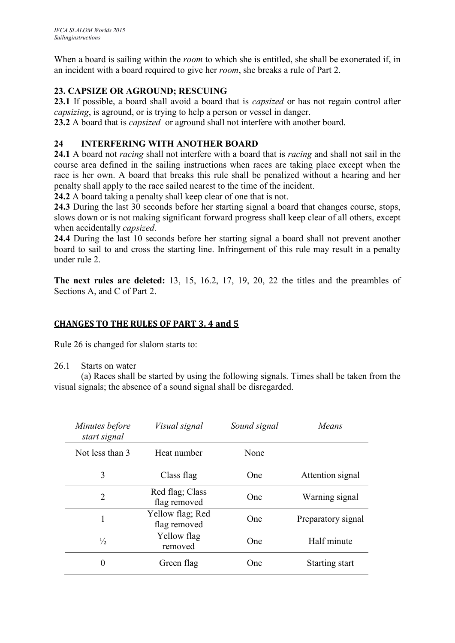When a board is sailing within the *room* to which she is entitled, she shall be exonerated if, in an incident with a board required to give her *room*, she breaks a rule of Part 2.

# **23. CAPSIZE OR AGROUND; RESCUING**

**23.1** If possible, a board shall avoid a board that is *capsized* or has not regain control after *capsizing*, is aground, or is trying to help a person or vessel in danger.

**23.2** A board that is *capsized* or aground shall not interfere with another board.

## **24 INTERFERING WITH ANOTHER BOARD**

**24.1** A board not *racing* shall not interfere with a board that is *racing* and shall not sail in the course area defined in the sailing instructions when races are taking place except when the race is her own. A board that breaks this rule shall be penalized without a hearing and her penalty shall apply to the race sailed nearest to the time of the incident.

**24.2** A board taking a penalty shall keep clear of one that is not.

**24.3** During the last 30 seconds before her starting signal a board that changes course, stops, slows down or is not making significant forward progress shall keep clear of all others, except when accidentally *capsized*.

**24.4** During the last 10 seconds before her starting signal a board shall not prevent another board to sail to and cross the starting line. Infringement of this rule may result in a penalty under rule 2.

**The next rules are deleted:** 13, 15, 16.2, 17, 19, 20, 22 the titles and the preambles of Sections A, and C of Part 2.

## **CHANGES TO THE RULES OF PART 3, 4 and 5**

Rule 26 is changed for slalom starts to:

#### 26.1 Starts on water

(a) Races shall be started by using the following signals. Times shall be taken from the visual signals; the absence of a sound signal shall be disregarded.

| Minutes before<br>start signal | <i>Visual signal</i>             | Sound signal | Means              |
|--------------------------------|----------------------------------|--------------|--------------------|
| Not less than 3                | Heat number                      | None         |                    |
| 3                              | Class flag                       | <b>One</b>   | Attention signal   |
| 2                              | Red flag; Class<br>flag removed  | One          | Warning signal     |
| 1                              | Yellow flag; Red<br>flag removed | One          | Preparatory signal |
| $\frac{1}{2}$                  | Yellow flag<br>removed           | <b>One</b>   | Half minute        |
|                                | Green flag                       | One          | Starting start     |